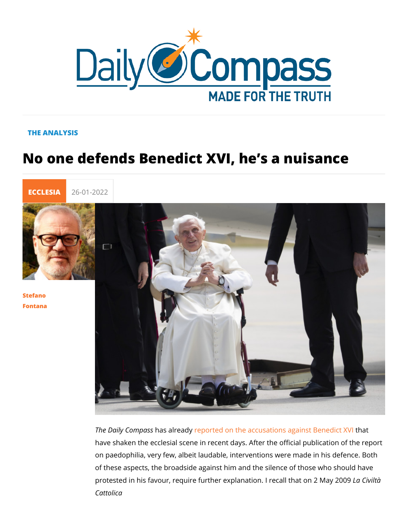## THE ANALYSIS

## No one defends Benedict XVI, he s a n



[Stefan](/en/stefano-fontana)o [Fontan](/en/stefano-fontana)a

> The Daily Cohmap aas is enado ported on the accusations againhsat Bened have shaken the ecclesial scene in recent days. After the offic on paedophilia, very few, albeit laudable, interventions were n of these aspects, the broadside against him and the silence of protested in his favour, require further explanation. La readvall the Cattolica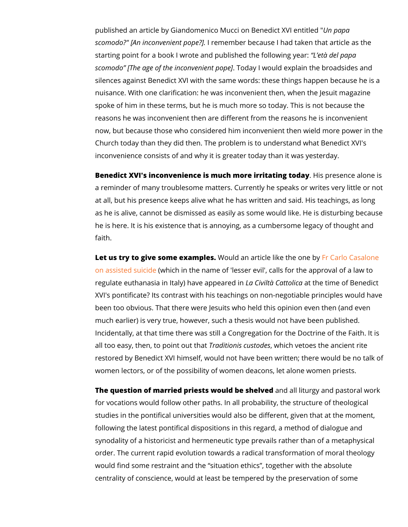published an article by Giandomenico Mucci ob mB papdict XVI e scomodo?" [An inconve**h**ineennt epnotpeer?]because I had taken that ar starting point for a book I wrote and publish the ond pallen wing year. scomod  $\overline{D}$ The age of the inconv $\overline{E}$  and  $\overline{E}$  and  $\overline{E}$  and  $\overline{E}$  and  $\overline{E}$  and  $\overline{E}$  and  $\overline{E}$  and  $\overline{E}$  and  $\overline{E}$  and  $\overline{E}$  and  $\overline{E}$  and  $\overline{E}$  and  $\overline{E}$  and  $\overline{E}$  and  $\over$ silences against Benedict XVI with the same words: these thin nuisance. With one clarification: he was inconvenient then, wh spoke of him in these terms, but he is much more so today. Th reasons he was inconvenient then are different from the reaso now, but because those who considered him inconvenient then Church today than they did then. The problem is to understand inconvenience consists of and why it is greater today than it w

Benedict XVI's inconvenience is much more irrhitating today alone is not alone in the sent of  $\sim$  Benedicts and in the sent of  $\sim$  Benedicts and in the sent of  $\sim$  Benedicts and in the sent of  $\sim$  Benedicts and in the a reminder of many troublesome matters. Currently he speaks at all, but his presence keeps alive what he has written and sa as he is alive, cannot be dismissed as easily as some would li he is here. It is his existence that is annoying, as a cumberso faith.

Let us try to give some eXMacmupdes.n article like Fthe aonice Congration [on assisted](https://lanuovabq.it/it/eutanasia-e-gesuiti-riecco-il-deprimente-male-minore) s(which in the name of 'lesser evil', calls for the a regulate euthanasia in Italy) h**laaveC aàooOpdeereared and ann**e time of Bened XVI's pontificate? Its contrast with his teachings on non-negot been too obvious. That there were Jesuits who held this opinic much earlier) is very true, however, such a thesis would not h Incidentally, at that time there was still a Congregation for the all too easy, then, to  $p$  biadiouth that  $q$  which desvetoes the ancient restored by Benedict XVI himself, would not have been written women lectors, or of the possibility of women deacons, let alo

The question of married priests wouled be als bleit weight and pastoral Theory for vocations would follow other paths. In all probability, the structure of the structure of the structure of studies in the pontifical universities would also be different, g following the latest pontifical dispositions in this regard, a me synodality of a historicist and hermeneutic type prevails rathe order. The current rapid evolution towards a radical transform would find some restraint and the situation ethics, together centrality of conscience, would at least be tempered by the pr